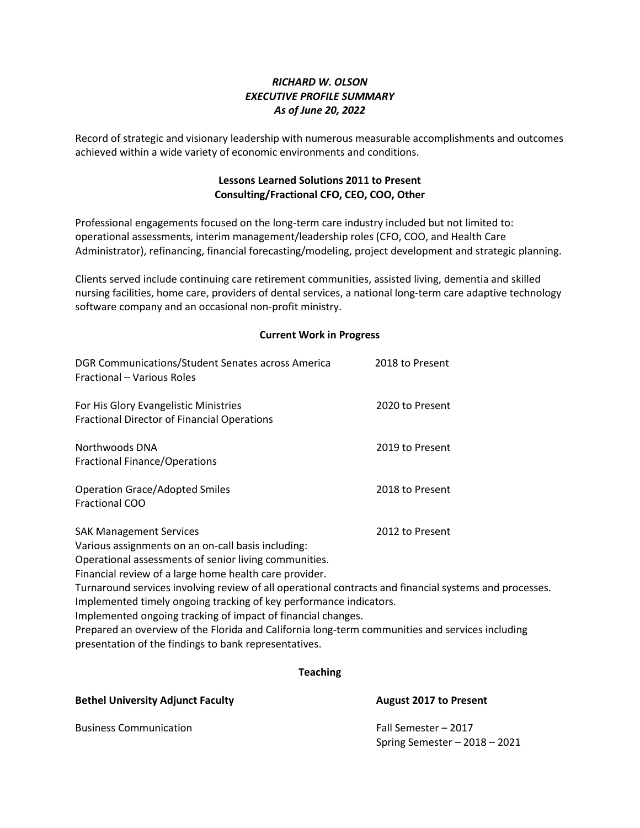## *RICHARD W. OLSON EXECUTIVE PROFILE SUMMARY As of June 20, 2022*

Record of strategic and visionary leadership with numerous measurable accomplishments and outcomes achieved within a wide variety of economic environments and conditions.

## **Lessons Learned Solutions 2011 to Present Consulting/Fractional CFO, CEO, COO, Other**

Professional engagements focused on the long-term care industry included but not limited to: operational assessments, interim management/leadership roles (CFO, COO, and Health Care Administrator), refinancing, financial forecasting/modeling, project development and strategic planning.

Clients served include continuing care retirement communities, assisted living, dementia and skilled nursing facilities, home care, providers of dental services, a national long-term care adaptive technology software company and an occasional non-profit ministry.

## **Current Work in Progress**

| DGR Communications/Student Senates across America<br>Fractional - Various Roles                                                                                                                                                                                                                                                                                                                                                                                                                                                                                                                                                        | 2018 to Present |
|----------------------------------------------------------------------------------------------------------------------------------------------------------------------------------------------------------------------------------------------------------------------------------------------------------------------------------------------------------------------------------------------------------------------------------------------------------------------------------------------------------------------------------------------------------------------------------------------------------------------------------------|-----------------|
| For His Glory Evangelistic Ministries<br><b>Fractional Director of Financial Operations</b>                                                                                                                                                                                                                                                                                                                                                                                                                                                                                                                                            | 2020 to Present |
| Northwoods DNA<br><b>Fractional Finance/Operations</b>                                                                                                                                                                                                                                                                                                                                                                                                                                                                                                                                                                                 | 2019 to Present |
| <b>Operation Grace/Adopted Smiles</b><br><b>Fractional COO</b>                                                                                                                                                                                                                                                                                                                                                                                                                                                                                                                                                                         | 2018 to Present |
| <b>SAK Management Services</b><br>2012 to Present<br>Various assignments on an on-call basis including:<br>Operational assessments of senior living communities.<br>Financial review of a large home health care provider.<br>Turnaround services involving review of all operational contracts and financial systems and processes.<br>Implemented timely ongoing tracking of key performance indicators.<br>Implemented ongoing tracking of impact of financial changes.<br>Prepared an overview of the Florida and California long-term communities and services including<br>presentation of the findings to bank representatives. |                 |

## **Teaching**

**Bethel University Adjunct Faculty August 2017 to Present**

Spring Semester – 2018 – 2021

Business Communication Fall Semester – 2017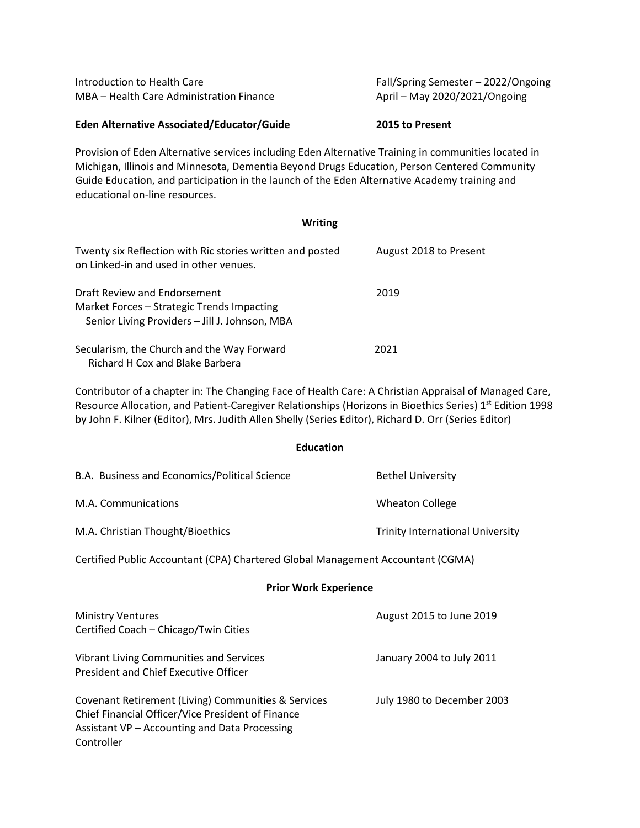| Introduction to Health Care<br>MBA - Health Care Administration Finance                                                                                                                                                                                                                                                                 | Fall/Spring Semester - 2022/Ongoing<br>April - May 2020/2021/Ongoing |  |
|-----------------------------------------------------------------------------------------------------------------------------------------------------------------------------------------------------------------------------------------------------------------------------------------------------------------------------------------|----------------------------------------------------------------------|--|
| Eden Alternative Associated/Educator/Guide                                                                                                                                                                                                                                                                                              | 2015 to Present                                                      |  |
| Provision of Eden Alternative services including Eden Alternative Training in communities located in<br>Michigan, Illinois and Minnesota, Dementia Beyond Drugs Education, Person Centered Community<br>Guide Education, and participation in the launch of the Eden Alternative Academy training and<br>educational on-line resources. |                                                                      |  |
| <b>Writing</b>                                                                                                                                                                                                                                                                                                                          |                                                                      |  |
| Twenty six Reflection with Ric stories written and posted<br>on Linked-in and used in other venues.                                                                                                                                                                                                                                     | August 2018 to Present                                               |  |
| Draft Review and Endorsement<br>Market Forces - Strategic Trends Impacting<br>Senior Living Providers - Jill J. Johnson, MBA                                                                                                                                                                                                            | 2019                                                                 |  |
| Secularism, the Church and the Way Forward<br>Richard H Cox and Blake Barbera                                                                                                                                                                                                                                                           | 2021                                                                 |  |
| Contributor of a chapter in: The Changing Face of Health Care: A Christian Appraisal of Managed Care,<br>Resource Allocation, and Patient-Caregiver Relationships (Horizons in Bioethics Series) 1st Edition 1998                                                                                                                       |                                                                      |  |

by John F. Kilner (Editor), Mrs. Judith Allen Shelly (Series Editor), Richard D. Orr (Series Editor)

| <b>Education</b> |
|------------------|
|------------------|

| B.A. Business and Economics/Political Science | <b>Bethel University</b>                |
|-----------------------------------------------|-----------------------------------------|
| M.A. Communications                           | Wheaton College                         |
| M.A. Christian Thought/Bioethics              | <b>Trinity International University</b> |

Certified Public Accountant (CPA) Chartered Global Management Accountant (CGMA)

# **Prior Work Experience**

| <b>Ministry Ventures</b><br>Certified Coach - Chicago/Twin Cities                                                                                                       | August 2015 to June 2019   |
|-------------------------------------------------------------------------------------------------------------------------------------------------------------------------|----------------------------|
| Vibrant Living Communities and Services<br>President and Chief Executive Officer                                                                                        | January 2004 to July 2011  |
| Covenant Retirement (Living) Communities & Services<br>Chief Financial Officer/Vice President of Finance<br>Assistant VP – Accounting and Data Processing<br>Controller | July 1980 to December 2003 |